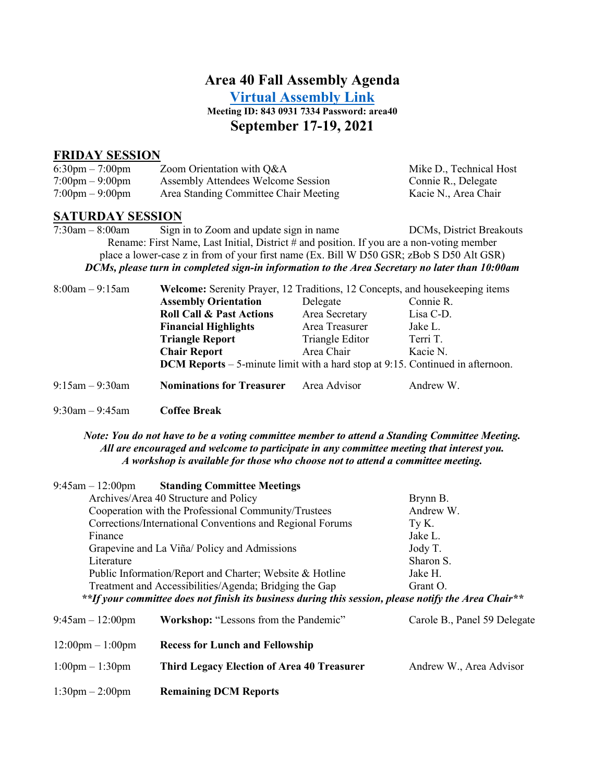### **Area 40 Fall Assembly Agenda**

**[Virtual Assembly Link](https://us02web.zoom.us/j/84309317334?pwd=M2xYYkNYam10aVVMckRLRjdNN0I3dz09)**

**Meeting ID: 843 0931 7334 Password: area40**

#### **September 17-19, 2021**

#### **FRIDAY SESSION**

| $6:30 \text{pm} - 7:00 \text{pm}$ | Zoom Orientation with Q&A             | Mike D., Technical Host |
|-----------------------------------|---------------------------------------|-------------------------|
| $7:00 \text{pm} - 9:00 \text{pm}$ | Assembly Attendees Welcome Session    | Connie R., Delegate     |
| $7:00 \text{pm} - 9:00 \text{pm}$ | Area Standing Committee Chair Meeting | Kacie N., Area Chair    |

# **SATURDAY SESSION**<br>7:30am – 8:00am<br>**Sign**

Sign in to Zoom and update sign in name DCMs, District Breakouts Rename: First Name, Last Initial, District # and position. If you are a non-voting member place a lower-case z in from of your first name (Ex. Bill W D50 GSR; zBob S D50 Alt GSR) *DCMs, please turn in completed sign-in information to the Area Secretary no later than 10:00am*

| $8:00am - 9:15am$    | <b>Welcome:</b> Serenity Prayer, 12 Traditions, 12 Concepts, and house keeping items  |                 |           |
|----------------------|---------------------------------------------------------------------------------------|-----------------|-----------|
|                      | <b>Assembly Orientation</b>                                                           | Delegate        | Connie R. |
|                      | <b>Roll Call &amp; Past Actions</b>                                                   | Area Secretary  | Lisa C-D. |
|                      | <b>Financial Highlights</b>                                                           | Area Treasurer  | Jake L.   |
|                      | <b>Triangle Report</b>                                                                | Triangle Editor | Terri T.  |
|                      | <b>Chair Report</b>                                                                   | Area Chair      | Kacie N.  |
|                      | <b>DCM Reports</b> – 5-minute limit with a hard stop at 9:15. Continued in afternoon. |                 |           |
| $9:15$ am $-9:30$ am | <b>Nominations for Treasurer</b>                                                      | Area Advisor    | Andrew W. |

9:30am – 9:45am **Coffee Break**

#### *Note: You do not have to be a voting committee member to attend a Standing Committee Meeting. All are encouraged and welcome to participate in any committee meeting that interest you. A workshop is available for those who choose not to attend a committee meeting.*

| $9:45$ am $-12:00$ pm                                     | <b>Standing Committee Meetings</b>                                                                   |                              |
|-----------------------------------------------------------|------------------------------------------------------------------------------------------------------|------------------------------|
| Archives/Area 40 Structure and Policy                     |                                                                                                      | Brynn B.                     |
| Cooperation with the Professional Community/Trustees      |                                                                                                      | Andrew W.                    |
| Corrections/International Conventions and Regional Forums |                                                                                                      | Ty K.                        |
| Finance                                                   |                                                                                                      | Jake L.                      |
| Grapevine and La Viña/ Policy and Admissions              |                                                                                                      | Jody T.                      |
| Literature                                                |                                                                                                      | Sharon S.                    |
| Public Information/Report and Charter; Website & Hotline  |                                                                                                      | Jake H.                      |
| Treatment and Accessibilities/Agenda; Bridging the Gap    |                                                                                                      | Grant O.                     |
|                                                           | **If your committee does not finish its business during this session, please notify the Area Chair** |                              |
| $9:45$ am $-12:00$ pm                                     | Workshop: "Lessons from the Pandemic"                                                                | Carole B., Panel 59 Delegate |
| $12:00 \text{pm} - 1:00 \text{pm}$                        | <b>Recess for Lunch and Fellowship</b>                                                               |                              |
| $1:00 \text{pm} - 1:30 \text{pm}$                         | <b>Third Legacy Election of Area 40 Treasurer</b>                                                    | Andrew W., Area Advisor      |

1:30pm – 2:00pm **Remaining DCM Reports**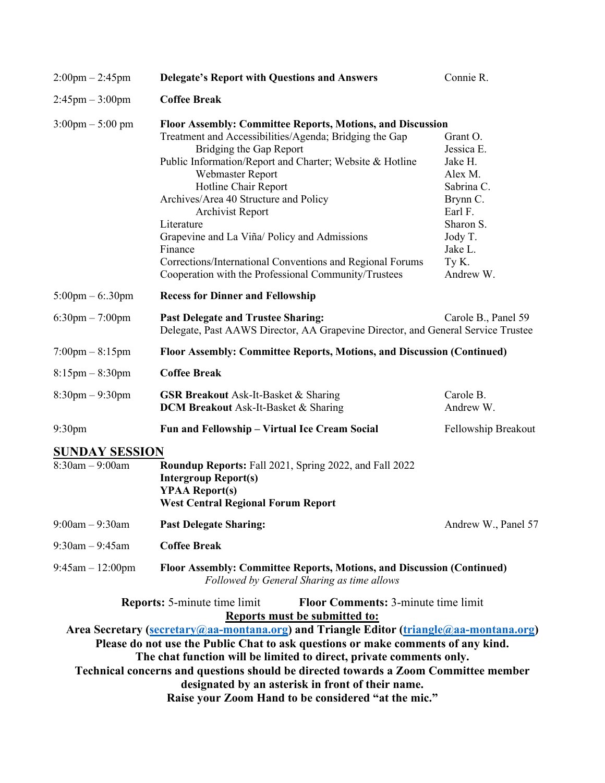| $2:00 \text{pm} - 2:45 \text{pm}$ | <b>Delegate's Report with Questions and Answers</b>                                                                  | Connie R.              |  |
|-----------------------------------|----------------------------------------------------------------------------------------------------------------------|------------------------|--|
| $2:45$ pm $-3:00$ pm              | <b>Coffee Break</b>                                                                                                  |                        |  |
| $3:00$ pm $- 5:00$ pm             | <b>Floor Assembly: Committee Reports, Motions, and Discussion</b>                                                    |                        |  |
|                                   | Treatment and Accessibilities/Agenda; Bridging the Gap                                                               | Grant O.               |  |
|                                   | Bridging the Gap Report                                                                                              | Jessica E.             |  |
|                                   | Public Information/Report and Charter; Website & Hotline                                                             | Jake H.                |  |
|                                   | Webmaster Report                                                                                                     | Alex M.                |  |
|                                   | Hotline Chair Report                                                                                                 | Sabrina C.             |  |
|                                   | Archives/Area 40 Structure and Policy                                                                                | Brynn C.               |  |
|                                   | Archivist Report                                                                                                     | Earl F.                |  |
|                                   | Literature                                                                                                           | Sharon S.              |  |
|                                   | Grapevine and La Viña/ Policy and Admissions                                                                         | Jody T.                |  |
|                                   | Finance                                                                                                              | Jake L.                |  |
|                                   |                                                                                                                      |                        |  |
|                                   | Corrections/International Conventions and Regional Forums                                                            | Ty K.                  |  |
|                                   | Cooperation with the Professional Community/Trustees                                                                 | Andrew W.              |  |
| $5:00 \text{pm} - 6:30 \text{pm}$ | <b>Recess for Dinner and Fellowship</b>                                                                              |                        |  |
| $6:30$ pm $-7:00$ pm              | <b>Past Delegate and Trustee Sharing:</b>                                                                            | Carole B., Panel 59    |  |
|                                   | Delegate, Past AAWS Director, AA Grapevine Director, and General Service Trustee                                     |                        |  |
| $7:00 \text{pm} - 8:15 \text{pm}$ | Floor Assembly: Committee Reports, Motions, and Discussion (Continued)                                               |                        |  |
| $8:15$ pm $-8:30$ pm              | <b>Coffee Break</b>                                                                                                  |                        |  |
| $8:30$ pm $-9:30$ pm              | <b>GSR Breakout</b> Ask-It-Basket & Sharing<br><b>DCM Breakout</b> Ask-It-Basket & Sharing                           | Carole B.<br>Andrew W. |  |
| 9:30 <sub>pm</sub>                | Fun and Fellowship – Virtual Ice Cream Social                                                                        | Fellowship Breakout    |  |
| <b>SUNDAY SESSION</b>             |                                                                                                                      |                        |  |
| $8:30$ am $-9:00$ am              | Roundup Reports: Fall 2021, Spring 2022, and Fall 2022                                                               |                        |  |
|                                   | <b>Intergroup Report(s)</b>                                                                                          |                        |  |
|                                   | <b>YPAA Report(s)</b>                                                                                                |                        |  |
|                                   | <b>West Central Regional Forum Report</b>                                                                            |                        |  |
| $9:00am - 9:30am$                 | <b>Past Delegate Sharing:</b>                                                                                        | Andrew W., Panel 57    |  |
| $9:30$ am $-9:45$ am              | <b>Coffee Break</b>                                                                                                  |                        |  |
| $9:45$ am $-12:00$ pm             | Floor Assembly: Committee Reports, Motions, and Discussion (Continued)<br>Followed by General Sharing as time allows |                        |  |
|                                   | <b>Floor Comments: 3-minute time limit</b><br><b>Reports:</b> 5-minute time limit                                    |                        |  |
|                                   | <b>Reports must be submitted to:</b>                                                                                 |                        |  |
|                                   | Area Secretary (secretary@aa-montana.org) and Triangle Editor (triangle@aa-montana.org)                              |                        |  |
|                                   | Please do not use the Public Chat to ask questions or make comments of any kind.                                     |                        |  |
|                                   | The chat function will be limited to direct, private comments only.                                                  |                        |  |
|                                   | Technical concerns and questions should be directed towards a Zoom Committee member                                  |                        |  |
|                                   | designated by an asterisk in front of their name.                                                                    |                        |  |
|                                   | Raise your Zoom Hand to be considered "at the mic."                                                                  |                        |  |
|                                   |                                                                                                                      |                        |  |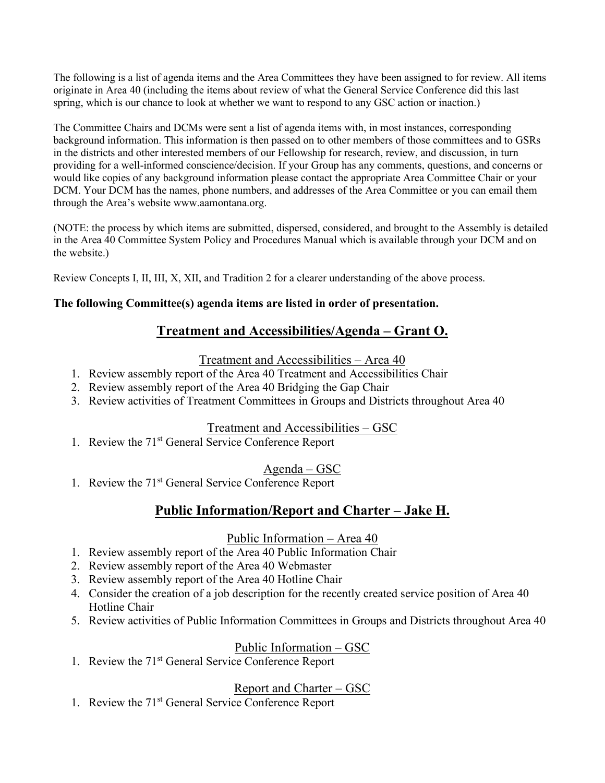The following is a list of agenda items and the Area Committees they have been assigned to for review. All items originate in Area 40 (including the items about review of what the General Service Conference did this last spring, which is our chance to look at whether we want to respond to any GSC action or inaction.)

The Committee Chairs and DCMs were sent a list of agenda items with, in most instances, corresponding background information. This information is then passed on to other members of those committees and to GSRs in the districts and other interested members of our Fellowship for research, review, and discussion, in turn providing for a well-informed conscience/decision. If your Group has any comments, questions, and concerns or would like copies of any background information please contact the appropriate Area Committee Chair or your DCM. Your DCM has the names, phone numbers, and addresses of the Area Committee or you can email them through the Area's website www.aamontana.org.

(NOTE: the process by which items are submitted, dispersed, considered, and brought to the Assembly is detailed in the Area 40 Committee System Policy and Procedures Manual which is available through your DCM and on the website.)

Review Concepts I, II, III, X, XII, and Tradition 2 for a clearer understanding of the above process.

#### **The following Committee(s) agenda items are listed in order of presentation.**

## **Treatment and Accessibilities/Agenda – Grant O.**

Treatment and Accessibilities – Area 40

- 1. Review assembly report of the Area 40 Treatment and Accessibilities Chair
- 2. Review assembly report of the Area 40 Bridging the Gap Chair
- 3. Review activities of Treatment Committees in Groups and Districts throughout Area 40

#### Treatment and Accessibilities – GSC

1. Review the 71<sup>st</sup> General Service Conference Report

## Agenda – GSC

1. Review the 71<sup>st</sup> General Service Conference Report

## **Public Information/Report and Charter – Jake H.**

#### Public Information – Area 40

- 1. Review assembly report of the Area 40 Public Information Chair
- 2. Review assembly report of the Area 40 Webmaster
- 3. Review assembly report of the Area 40 Hotline Chair
- 4. Consider the creation of a job description for the recently created service position of Area 40 Hotline Chair
- 5. Review activities of Public Information Committees in Groups and Districts throughout Area 40

#### Public Information – GSC

1. Review the 71<sup>st</sup> General Service Conference Report

## Report and Charter – GSC

1. Review the 71<sup>st</sup> General Service Conference Report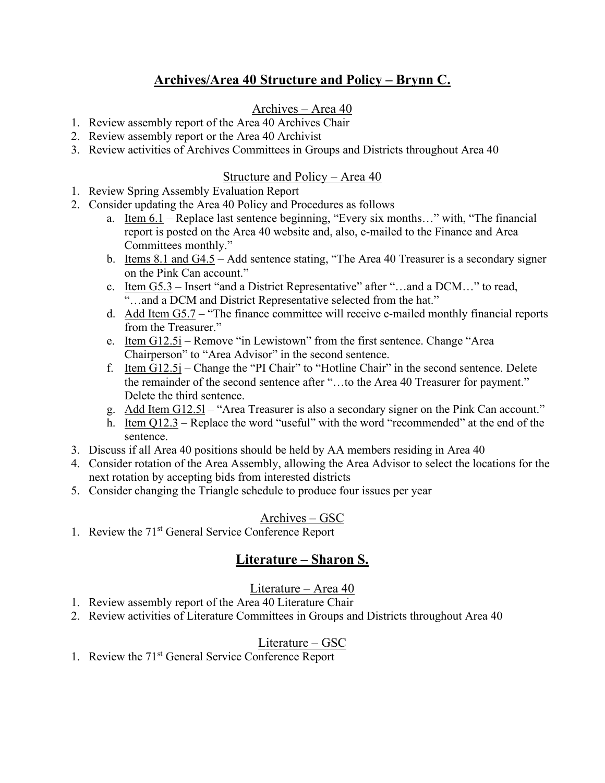## **Archives/Area 40 Structure and Policy – Brynn C.**

#### Archives – Area 40

- 1. Review assembly report of the Area 40 Archives Chair
- 2. Review assembly report or the Area 40 Archivist
- 3. Review activities of Archives Committees in Groups and Districts throughout Area 40

#### Structure and Policy – Area 40

- 1. Review Spring Assembly Evaluation Report
- 2. Consider updating the Area 40 Policy and Procedures as follows
	- a. Item  $6.1$  Replace last sentence beginning, "Every six months..." with, "The financial report is posted on the Area 40 website and, also, e-mailed to the Finance and Area Committees monthly."
	- b. Items 8.1 and G4.5 Add sentence stating, "The Area 40 Treasurer is a secondary signer on the Pink Can account."
	- c. Item  $G5.3$  Insert "and a District Representative" after "...and a DCM..." to read, "…and a DCM and District Representative selected from the hat."
	- d. Add Item G5.7 "The finance committee will receive e-mailed monthly financial reports from the Treasurer."
	- e. Item G12.5i Remove "in Lewistown" from the first sentence. Change "Area Chairperson" to "Area Advisor" in the second sentence.
	- f. Item  $G12.5j$  Change the "PI Chair" to "Hotline Chair" in the second sentence. Delete the remainder of the second sentence after "…to the Area 40 Treasurer for payment." Delete the third sentence.
	- g. Add Item G12.5l "Area Treasurer is also a secondary signer on the Pink Can account."
	- h. Item Q12.3 Replace the word "useful" with the word "recommended" at the end of the sentence.
- 3. Discuss if all Area 40 positions should be held by AA members residing in Area 40
- 4. Consider rotation of the Area Assembly, allowing the Area Advisor to select the locations for the next rotation by accepting bids from interested districts
- 5. Consider changing the Triangle schedule to produce four issues per year

#### Archives – GSC

1. Review the 71<sup>st</sup> General Service Conference Report

## **Literature – Sharon S.**

#### Literature – Area 40

- 1. Review assembly report of the Area 40 Literature Chair
- 2. Review activities of Literature Committees in Groups and Districts throughout Area 40

#### Literature – GSC

1. Review the 71<sup>st</sup> General Service Conference Report